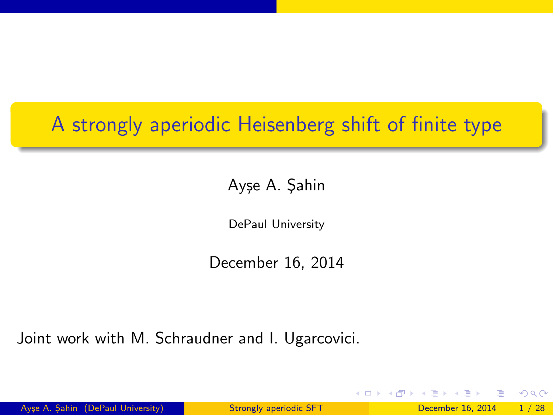# A strongly aperiodic Heisenberg shift of finite type

Ayşe A. Şahin

DePaul University

December 16, 2014

Joint work with M. Schraudner and I. Ugarcovici.

<span id="page-0-0"></span> $\Omega$ 

イロト イ押 トイヨト イヨ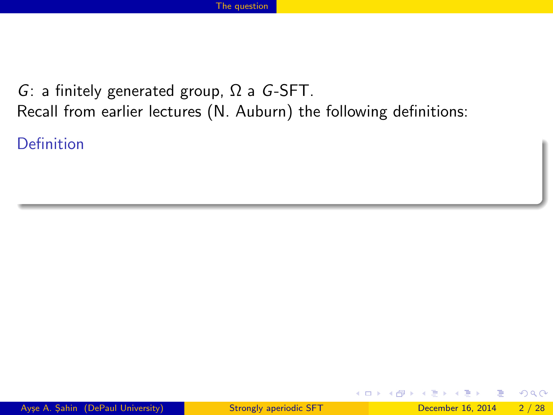Definition

画

<span id="page-1-0"></span> $QQ$ 

イロト イ母 トイヨ トイヨト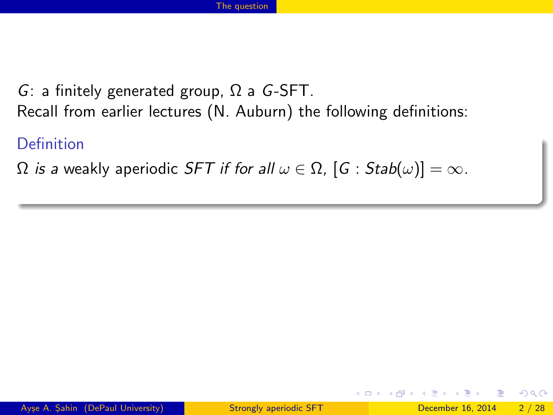## Definition

 $\Omega$  is a weakly aperiodic SFT if for all  $\omega \in \Omega$ ,  $[G : Stab(\omega)] = \infty$ .

4 0 8

<span id="page-2-0"></span> $\blacksquare$   $\blacksquare$   $\blacksquare$   $\blacksquare$   $\blacksquare$   $\blacksquare$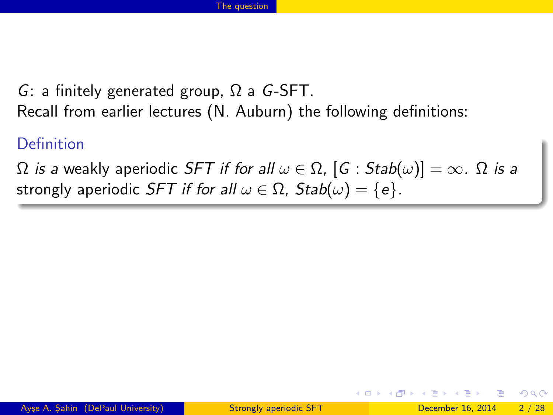## **Definition**

 $\Omega$  is a weakly aperiodic SFT if for all  $\omega \in \Omega$ ,  $[G : Stab(\omega)] = \infty$ .  $\Omega$  is a strongly aperiodic SFT if for all  $\omega \in \Omega$ , Stab $(\omega) = \{e\}$ .

<span id="page-3-0"></span>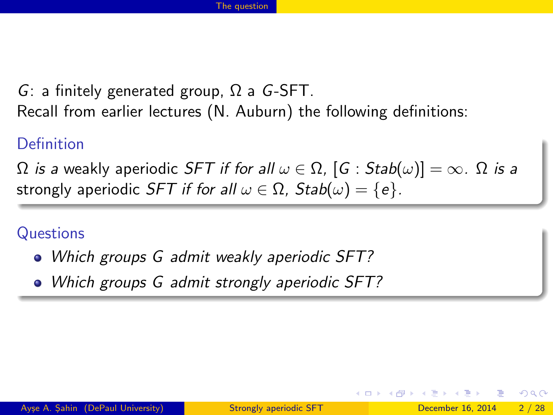## **Definition**

 $\Omega$  is a weakly aperiodic SFT if for all  $\omega \in \Omega$ ,  $[G : Stab(\omega)] = \infty$ .  $\Omega$  is a strongly aperiodic SFT if for all  $\omega \in \Omega$ , Stab $(\omega) = \{e\}$ .

**Questions** 

- Which groups G admit weakly aperiodic SFT?
- <span id="page-4-0"></span>• Which groups G admit strongly aperiodic SFT?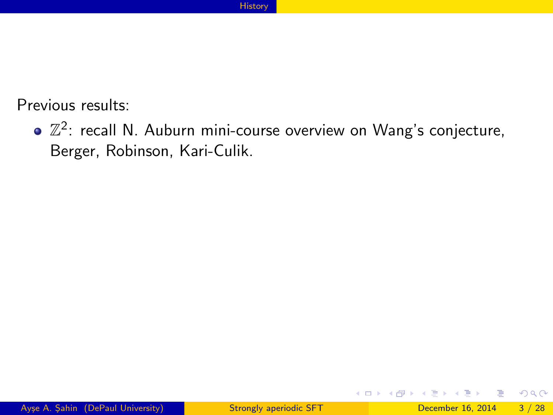Previous results:

 $\mathbb{Z}^2$ : recall N. Auburn mini-course overview on Wang's conjecture, Berger, Robinson, Kari-Culik.

D.

<span id="page-5-0"></span> $\Omega$ 

ヨメ メヨメ

**4 ロト 4 何 ト 4**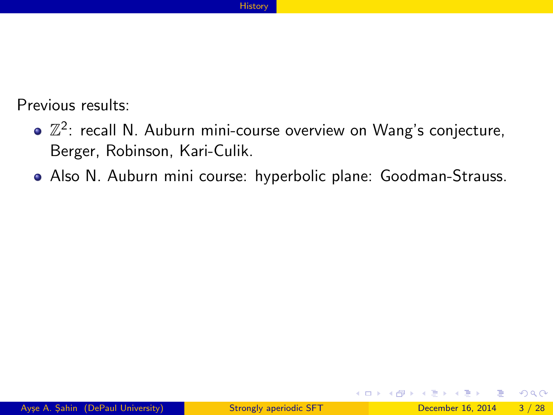Previous results:

- $\mathbb{Z}^2$ : recall N. Auburn mini-course overview on Wang's conjecture, Berger, Robinson, Kari-Culik.
- Also N. Auburn mini course: hyperbolic plane: Goodman-Strauss.

4 日下

<span id="page-6-0"></span>- ∢ 母 → →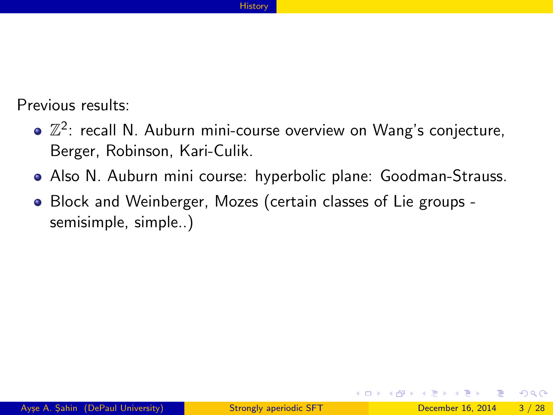#### **[History](#page-7-0)**

Previous results:

- $\mathbb{Z}^2$ : recall N. Auburn mini-course overview on Wang's conjecture, Berger, Robinson, Kari-Culik.
- Also N. Auburn mini course: hyperbolic plane: Goodman-Strauss.
- Block and Weinberger, Mozes (certain classes of Lie groups semisimple, simple..)

4 D F

<span id="page-7-0"></span>→←何→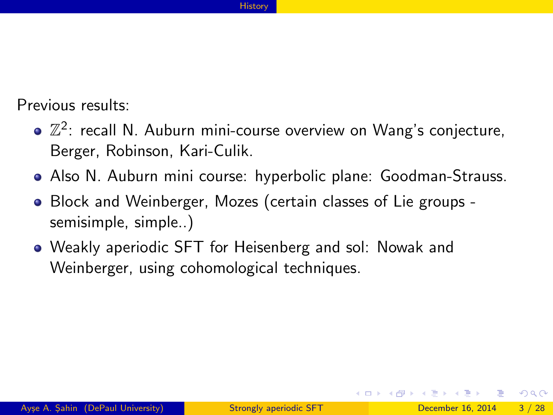#### **[History](#page-8-0)**

Previous results:

- $\mathbb{Z}^2$ : recall N. Auburn mini-course overview on Wang's conjecture, Berger, Robinson, Kari-Culik.
- Also N. Auburn mini course: hyperbolic plane: Goodman-Strauss.
- Block and Weinberger, Mozes (certain classes of Lie groups semisimple, simple..)
- Weakly aperiodic SFT for Heisenberg and sol: Nowak and Weinberger, using cohomological techniques.

<span id="page-8-0"></span>( □ ) ( <sub>□</sub> ) (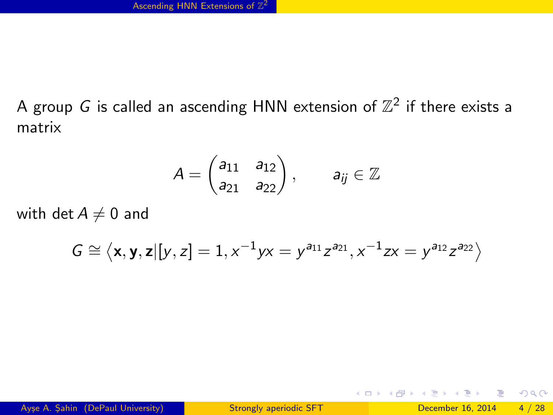A group G is called an ascending HNN extension of  $\mathbb{Z}^2$  if there exists a matrix

$$
A = \begin{pmatrix} a_{11} & a_{12} \\ a_{21} & a_{22} \end{pmatrix}, \qquad a_{ij} \in \mathbb{Z}
$$

with det  $A \neq 0$  and

$$
G \cong \left\langle \mathbf{x}, \mathbf{y}, \mathbf{z} | [y, z] = 1, x^{-1} y x = y^{a_{11}} z^{a_{21}}, x^{-1} z x = y^{a_{12}} z^{a_{22}} \right\rangle
$$

D.

<span id="page-9-0"></span> $\Omega$ 

メロメ メ都 メメ きょくきょ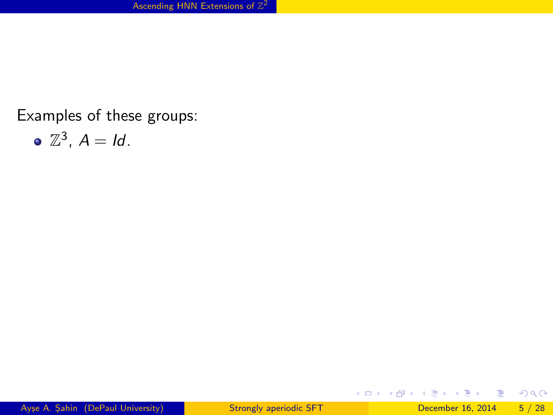Examples of these groups:

$$
\bullet \ \mathbb{Z}^3, \ A = Id.
$$

重

<span id="page-10-0"></span> $2990$ 

イロト イ部 トメ ヨ トメ ヨト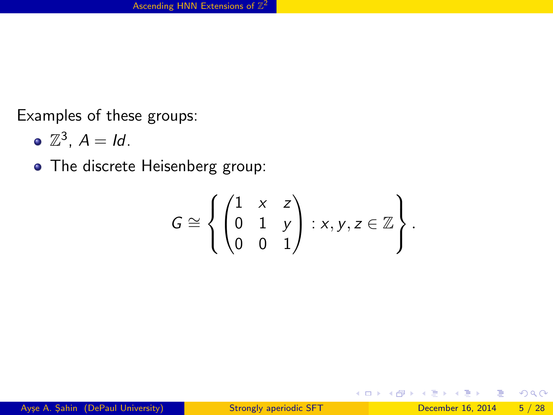Examples of these groups:

$$
\bullet \ \mathbb{Z}^3, \ A = Id.
$$

• The discrete Heisenberg group:

$$
G \cong \left\{ \begin{pmatrix} 1 & x & z \\ 0 & 1 & y \\ 0 & 0 & 1 \end{pmatrix} : x, y, z \in \mathbb{Z} \right\}.
$$

D.

ヨメ メヨメ

**4 ロ ▶ 4 母 ▶ 4** 

<span id="page-11-0"></span> $2990$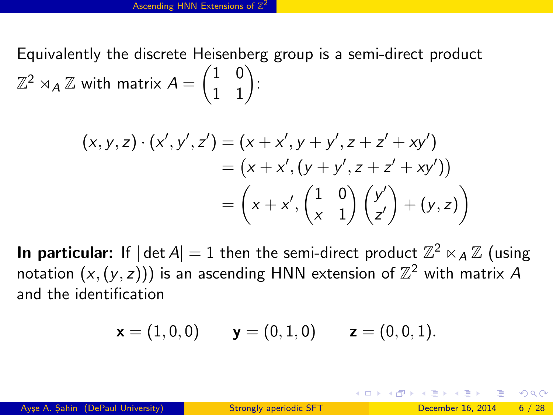Equivalently the discrete Heisenberg group is a semi-direct product  $\mathbb{Z}^2\rtimes_A\mathbb{Z}$  with matrix  $A=\begin{pmatrix} 1 & 0 \ 1 & 1 \end{pmatrix}$ :

$$
(x, y, z) \cdot (x', y', z') = (x + x', y + y', z + z' + xy') = (x + x', (y + y', z + z' + xy')) = \left(x + x', \begin{pmatrix} 1 & 0 \\ x & 1 \end{pmatrix} \begin{pmatrix} y' \\ z' \end{pmatrix} + (y, z) \right)
$$

**In particular:** If  $|\det A| = 1$  then the semi-direct product  $\mathbb{Z}^2 \ltimes_A \mathbb{Z}$  (using notation  $(x,(y,z)))$  is an ascending HNN extension of  $\mathbb{Z}^2$  with matrix  $A$ and the identification

$$
\bm{x}=(1,0,0) \qquad \bm{y}=(0,1,0) \qquad \bm{z}=(0,0,1).
$$

<span id="page-12-0"></span> $\Omega$ 

K ロ X - 제 P X - 제 파 X - 파 파 파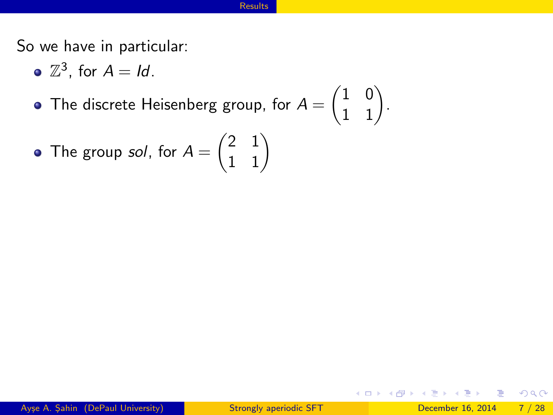So we have in particular:

- $\mathbb{Z}^3$ , for  $A = Id$ .
- The discrete Heisenberg group, for  $A = \begin{pmatrix} 1 & 0 \ 1 & 1 \end{pmatrix}$ .

• The group *sol*, for 
$$
A = \begin{pmatrix} 2 & 1 \\ 1 & 1 \end{pmatrix}
$$

画

一本 重 下

 $\sim$ 

**4 ロト 4 何 ト 4** 

<span id="page-13-0"></span> $299$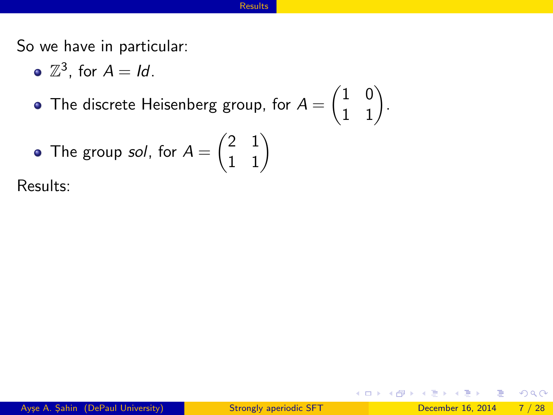So we have in particular:

- $\mathbb{Z}^3$ , for  $A = Id$ .
- The discrete Heisenberg group, for  $A = \begin{pmatrix} 1 & 0 \ 1 & 1 \end{pmatrix}$ .

• The group *sol*, for 
$$
A = \begin{pmatrix} 2 & 1 \\ 1 & 1 \end{pmatrix}
$$

Results:

画

 $\triangleright$   $\rightarrow$   $\Rightarrow$ 

**4 ロト 4 何 ト 4** 

<span id="page-14-0"></span> $299$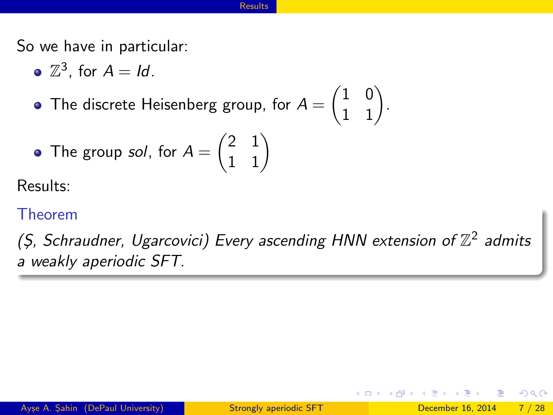So we have in particular:

- $\mathbb{Z}^3$ , for  $A = Id$ .
- The discrete Heisenberg group, for  $A = \begin{pmatrix} 1 & 0 \ 1 & 1 \end{pmatrix}$ .

• The group *sol*, for 
$$
A = \begin{pmatrix} 2 & 1 \\ 1 & 1 \end{pmatrix}
$$

Results:

### Theorem

<span id="page-15-0"></span>(Ş, Schraudner, Ugarcovici) Every ascending HNN extension of  $\mathbb{Z}^2$  admits a weakly aperiodic SFT.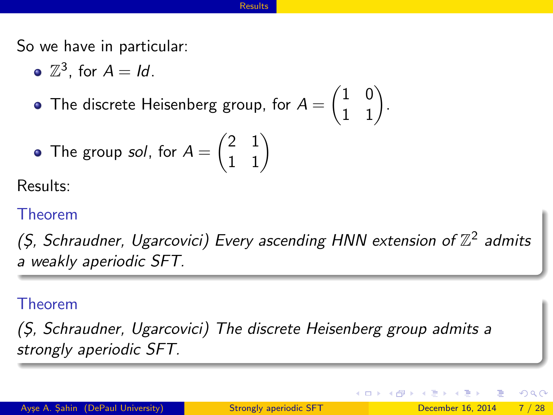So we have in particular:

- $\mathbb{Z}^3$ , for  $A = Id$ .
- The discrete Heisenberg group, for  $A = \begin{pmatrix} 1 & 0 \ 1 & 1 \end{pmatrix}$ .

• The group *sol*, for 
$$
A = \begin{pmatrix} 2 & 1 \\ 1 & 1 \end{pmatrix}
$$

Results:

## Theorem

(Ş, Schraudner, Ugarcovici) Every ascending HNN extension of  $\mathbb{Z}^2$  admits a weakly aperiodic SFT.

## Theorem

(S¸, Schraudner, Ugarcovici) The discrete Heisenberg group admits a strongly aperiodic SFT.

( □ ) ( <sub>□</sub> ) (

<span id="page-16-0"></span> $200$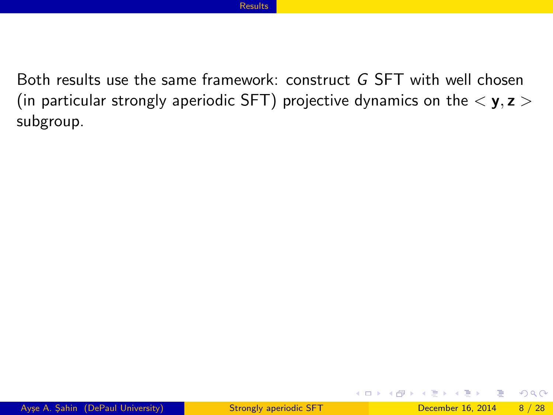Both results use the same framework: construct G SFT with well chosen (in particular strongly aperiodic SFT) projective dynamics on the  $\langle y, z \rangle$ subgroup.

D.

<span id="page-17-0"></span> $QQ$ 

イロト イ母 トイヨ トイヨト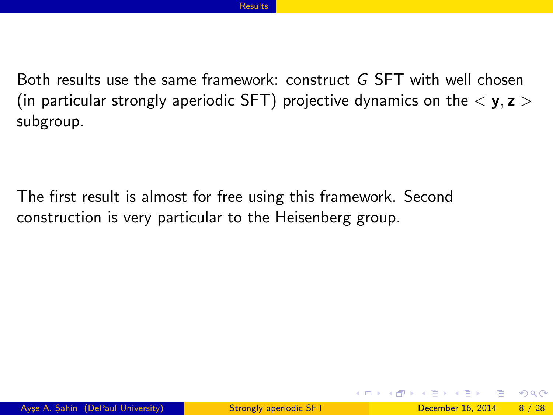Both results use the same framework: construct G SFT with well chosen (in particular strongly aperiodic SFT) projective dynamics on the  $\langle y, z \rangle$ subgroup.

The first result is almost for free using this framework. Second construction is very particular to the Heisenberg group.

<span id="page-18-0"></span> $QQ$ 

イロト イ母 トイヨ トイヨト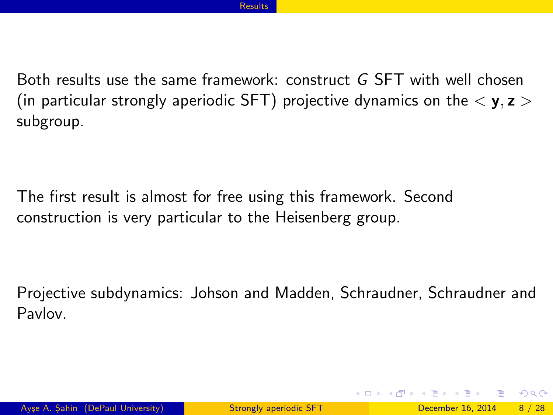Both results use the same framework: construct G SFT with well chosen (in particular strongly aperiodic SFT) projective dynamics on the  $\langle y, z \rangle$ subgroup.

The first result is almost for free using this framework. Second construction is very particular to the Heisenberg group.

Projective subdynamics: Johson and Madden, Schraudner, Schraudner and Pavlov.

<span id="page-19-0"></span> $\Omega$ 

イロト イ押ト イヨト イヨト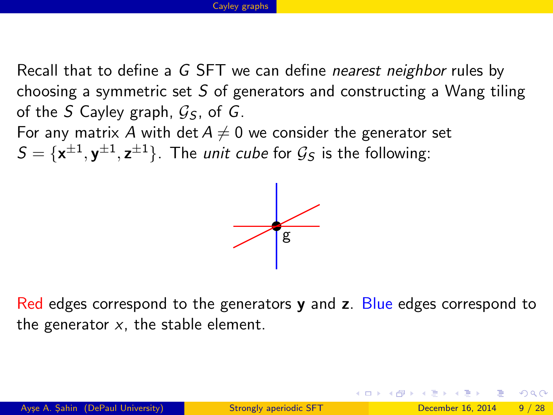Recall that to define a G SFT we can define nearest neighbor rules by choosing a symmetric set  $S$  of generators and constructing a Wang tiling of the S Cayley graph,  $G_s$ , of G.

For any matrix A with det  $A \neq 0$  we consider the generator set  $S = {\mathbf{x}^{\pm 1}, \mathbf{y}^{\pm 1}, \mathbf{z}^{\pm 1}}$ . The *unit cube* for  $\mathcal{G}_S$  is the following:



Red edges correspond to the generators  $\bf{v}$  and  $\bf{z}$ . Blue edges correspond to the generator  $x$ , the stable element.

<span id="page-20-0"></span> $\Omega$ 

K ロ X - 제 P X - 제 파 X - 파 파 파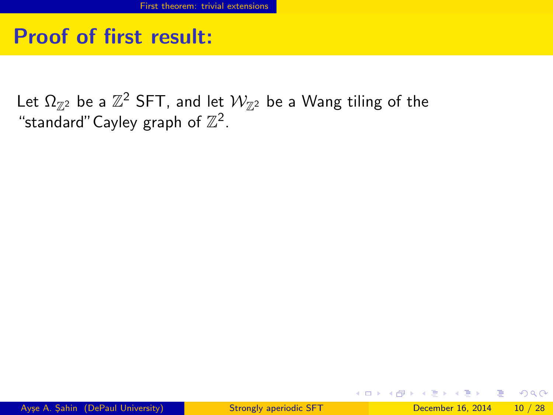# Proof of first result:

Let  $\Omega_{\mathbb{Z}^2}$  be a  $\mathbb{Z}^2$  SFT, and let  $\mathcal{W}_{\mathbb{Z}^2}$  be a Wang tiling of the "standard" Cayley graph of  $\mathbb{Z}^2$ .

<span id="page-21-0"></span>KED KARD KED KED E VOOR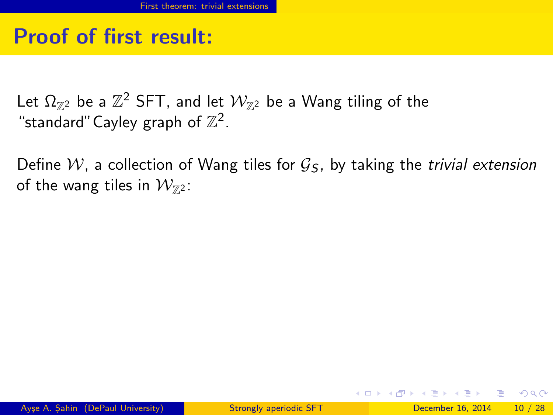# Proof of first result:

Let  $\Omega_{\mathbb{Z}^2}$  be a  $\mathbb{Z}^2$  SFT, and let  $\mathcal{W}_{\mathbb{Z}^2}$  be a Wang tiling of the "standard" Cayley graph of  $\mathbb{Z}^2$ .

Define W, a collection of Wang tiles for  $\mathcal{G}_5$ , by taking the *trivial extension* of the wang tiles in  $\mathcal{W}_{\mathbb{Z}^2}$ :

<span id="page-22-0"></span>KED KARD KED KED E VOOR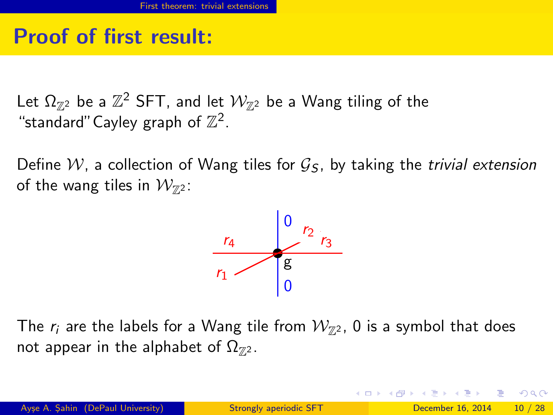# Proof of first result:

Let  $\Omega_{\mathbb{Z}^2}$  be a  $\mathbb{Z}^2$  SFT, and let  $\mathcal{W}_{\mathbb{Z}^2}$  be a Wang tiling of the "standard" Cayley graph of  $\mathbb{Z}^2$ .

Define W, a collection of Wang tiles for  $\mathcal{G}_5$ , by taking the *trivial extension* of the wang tiles in  $\mathcal{W}_{\mathbb{Z}^2}$ :



The  $r_i$  are the labels for a Wang tile from  $\mathcal{W}_{\mathbb{Z}^2}$ , 0 is a symbol that does not appear in the alphabet of  $\Omega_{\mathbb{Z}^2}$ .

<span id="page-23-0"></span>KED KAP KED KED E VOOR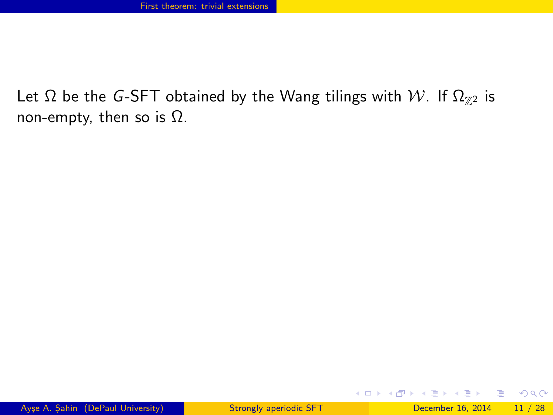## Let  $\Omega$  be the G-SFT obtained by the Wang tilings with W. If  $\Omega_{\mathbb{Z}^2}$  is non-empty, then so is  $Ω$ .

<span id="page-24-0"></span>G.  $\Omega$ 

メロメ メ都 メメ きょくきょ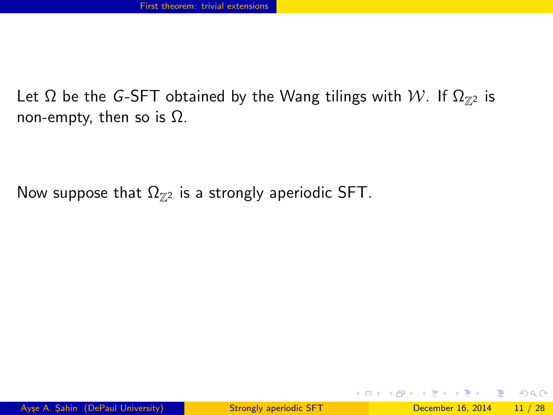## Let  $\Omega$  be the G-SFT obtained by the Wang tilings with W. If  $\Omega_{\mathbb{Z}^2}$  is non-empty, then so is  $Ω$ .

Now suppose that  $\Omega_{Z2}$  is a strongly aperiodic SFT.

<span id="page-25-0"></span> $\equiv$  $\Omega$ 

イロト イ押ト イヨト イヨト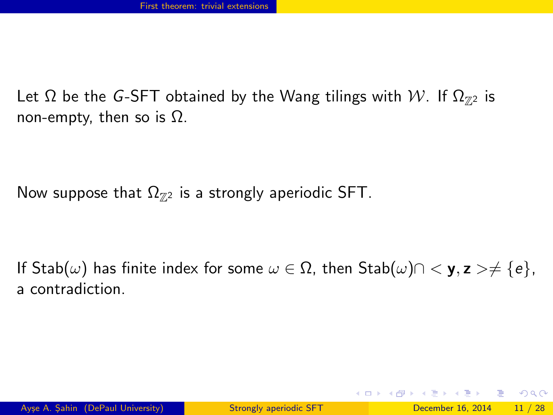Let  $\Omega$  be the G-SFT obtained by the Wang tilings with W. If  $\Omega_{\mathbb{Z}^2}$  is non-empty, then so is  $Ω$ .

Now suppose that  $\Omega_{Z2}$  is a strongly aperiodic SFT.

If Stab $(\omega)$  has finite index for some  $\omega \in \Omega$ , then  $\text{Stab}(\omega) \cap \langle \mathbf{y}, \mathbf{z} \rangle \neq \{e\},\$ a contradiction.

<span id="page-26-0"></span>KED KAP KED KED E VOOR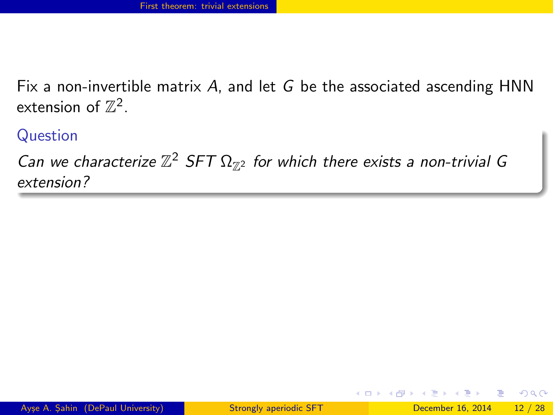Fix a non-invertible matrix A, and let G be the associated ascending  $HNN$ extension of  $\mathbb{Z}^2$ .

Question

Can we characterize  $\mathbb{Z}^2$  SFT  $\Omega_{\mathbb{Z}^2}$  for which there exists a non-trivial G extension?

<span id="page-27-0"></span>( □ ) ( <sub>□</sub> ) (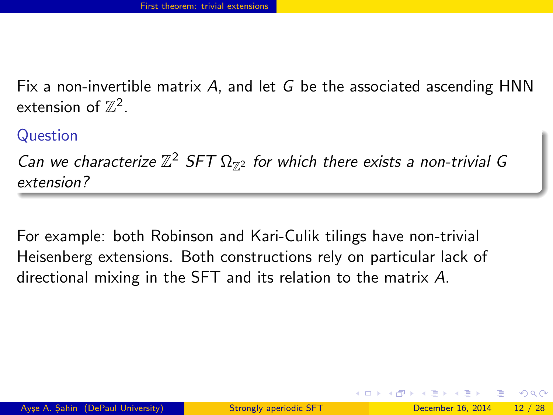Fix a non-invertible matrix  $A$ , and let  $G$  be the associated ascending HNN extension of  $\mathbb{Z}^2$ .

Question

Can we characterize  $\mathbb{Z}^2$  SFT  $\Omega_{\mathbb{Z}^2}$  for which there exists a non-trivial G extension?

<span id="page-28-0"></span>For example: both Robinson and Kari-Culik tilings have non-trivial Heisenberg extensions. Both constructions rely on particular lack of directional mixing in the SFT and its relation to the matrix A.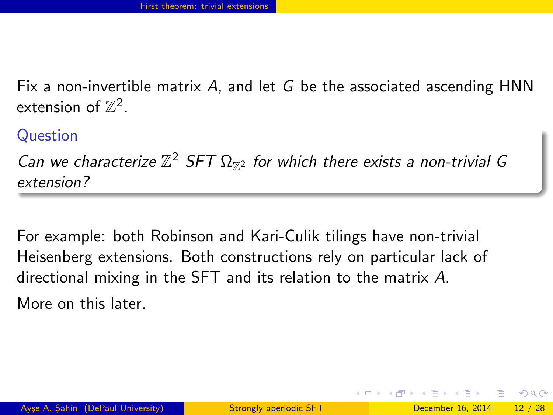Fix a non-invertible matrix A, and let G be the associated ascending  $HNN$ extension of  $\mathbb{Z}^2$ .

Question

Can we characterize  $\mathbb{Z}^2$  SFT  $\Omega_{\mathbb{Z}^2}$  for which there exists a non-trivial G extension?

For example: both Robinson and Kari-Culik tilings have non-trivial Heisenberg extensions. Both constructions rely on particular lack of directional mixing in the SFT and its relation to the matrix A.

<span id="page-29-0"></span>More on this later.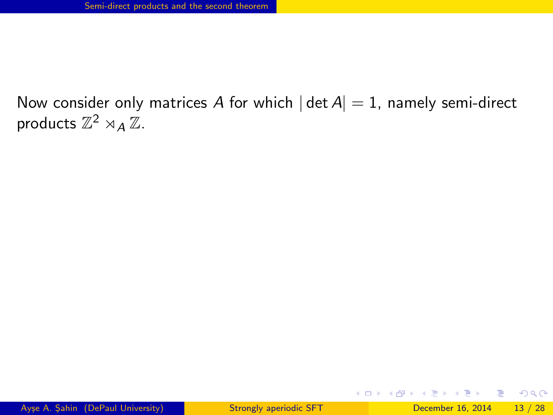D.

<span id="page-30-0"></span> $\Omega$ 

イロト イ押ト イヨト イヨト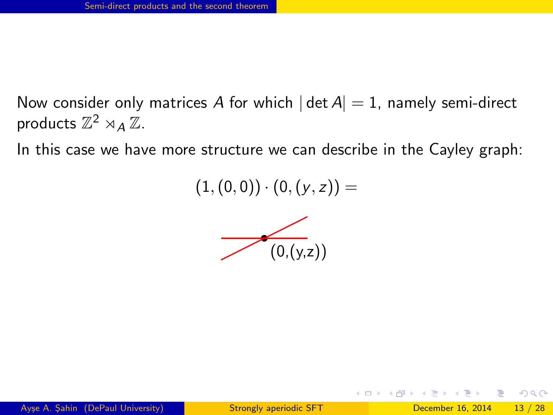In this case we have more structure we can describe in the Cayley graph:

 $(1,(0, 0)) \cdot (0,(y, z)) =$ 



<span id="page-31-0"></span> $\Omega$ 

**K ロ ▶ | K 何 ▶ | K 日**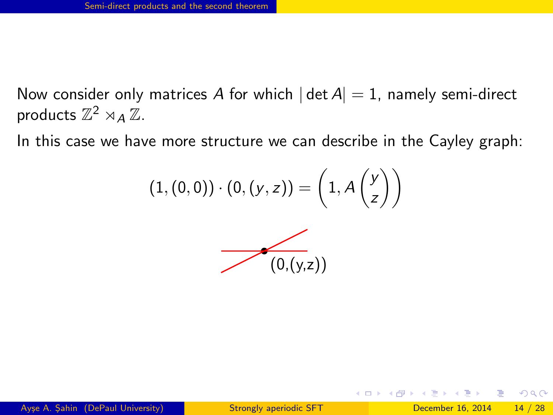In this case we have more structure we can describe in the Cayley graph:

$$
(1,(0,0))\cdot(0,(y,z))=\left(1,A\begin{pmatrix}y\\z\end{pmatrix}\right)
$$



<span id="page-32-0"></span>∢ □ ▶ ⊣ 何 ▶ ·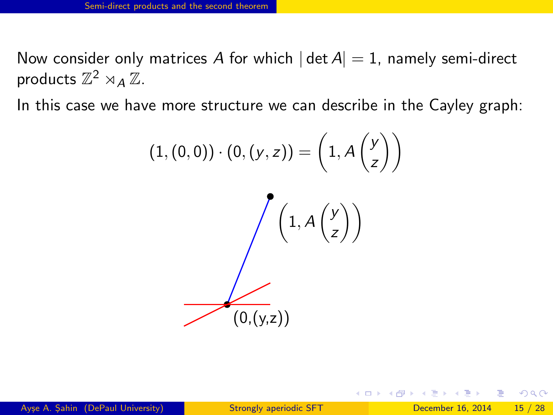In this case we have more structure we can describe in the Cayley graph:

$$
(1, (0, 0)) \cdot (0, (y, z)) = \left(1, A\begin{pmatrix} y \\ z \end{pmatrix}\right)
$$

$$
\begin{pmatrix} 1, A\begin{pmatrix} y \\ z \end{pmatrix} \end{pmatrix}
$$

$$
(0, (y, z))
$$

<span id="page-33-0"></span> $\Omega$ 

イロト イ何 トイヨ トイヨ トー ヨ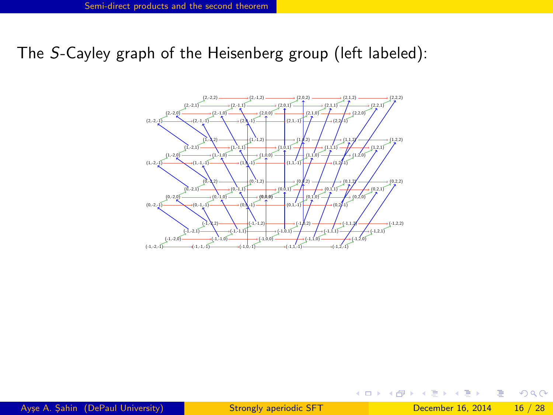The S-Cayley graph of the Heisenberg group (left labeled):



 $\sim$ 

◂**◻▸ ◂<del>⁄</del>** ▸

D.

<span id="page-34-0"></span> $2990$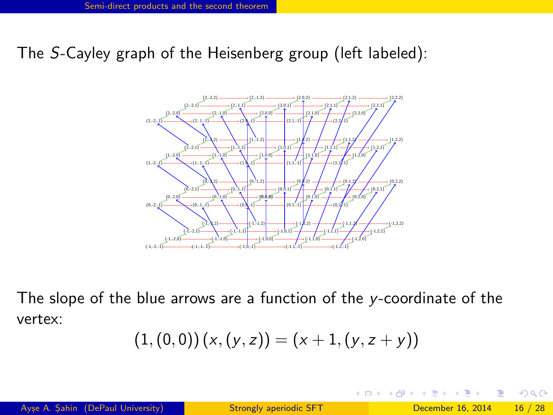The S-Cayley graph of the Heisenberg group (left labeled):



The slope of the blue arrows are a function of the y-coordinate of the vertex:

$$
(1, (0, 0)) (x, (y, z)) = (x + 1, (y, z + y))
$$

◂**◻▸ ◂<del>⁄</del>** ▸

<span id="page-35-0"></span> $QQ$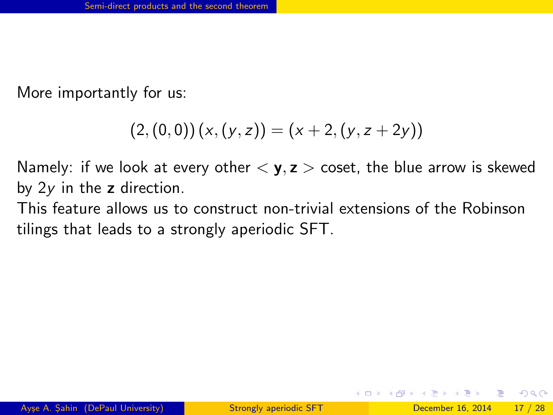More importantly for us:

$$
(2, (0, 0)) (x, (y, z)) = (x + 2, (y, z + 2y))
$$

Namely: if we look at every other  $\langle y, z \rangle$  coset, the blue arrow is skewed by  $2y$  in the z direction.

This feature allows us to construct non-trivial extensions of the Robinson tilings that leads to a strongly aperiodic SFT.

<span id="page-36-0"></span> $\Omega$ 

イロト イ押ト イヨト イヨト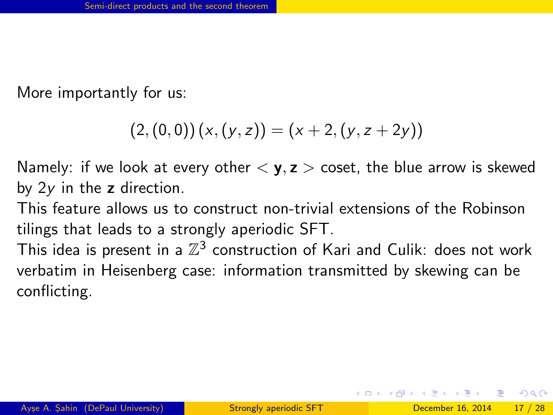More importantly for us:

$$
(2, (0, 0)) (x, (y, z)) = (x + 2, (y, z + 2y))
$$

Namely: if we look at every other  $\langle \mathbf{y}, \mathbf{z} \rangle$  coset, the blue arrow is skewed by  $2y$  in the z direction.

This feature allows us to construct non-trivial extensions of the Robinson tilings that leads to a strongly aperiodic SFT.

This idea is present in a  $\mathbb{Z}^3$  construction of Kari and Culik: does not work verbatim in Heisenberg case: information transmitted by skewing can be conflicting.

<span id="page-37-0"></span> $\Omega$ 

イロト イ押ト イヨト イヨト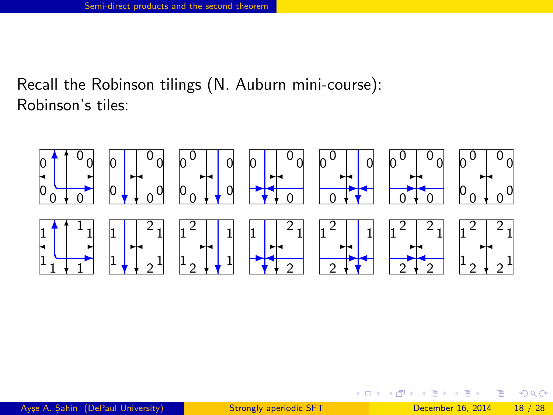Recall the Robinson tilings (N. Auburn mini-course): Robinson's tiles:



画

 $\rightarrow$   $\Box$ 

4 0 8

<span id="page-38-0"></span> $QQQ$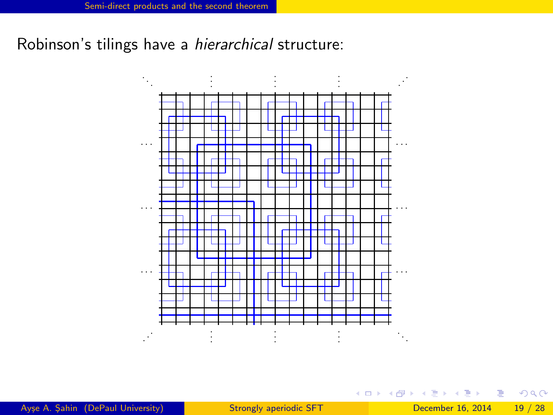Robinson's tilings have a *hierarchical* structure:



Figure 2. The bl[a](#page-38-0)ck and wh[ic](#page-38-0)h are  $\frac{1}{2}$  and  $\frac{1}{2}$  bec[o](#page-29-0)mber 16, 2014 Ayse A. Sahin (DePaul University) [Strongly aperiodic SFT](#page-0-0) December 16, 2014 19 / 28

<span id="page-39-0"></span> $-990$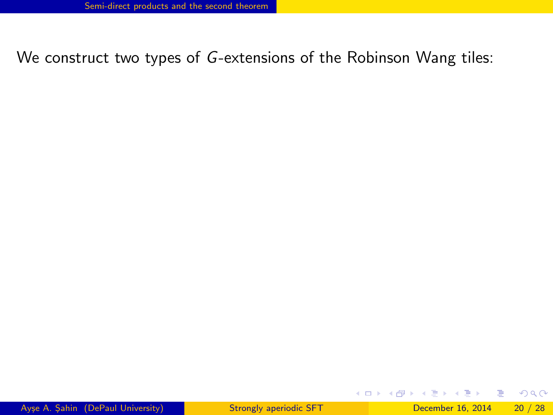## We construct two types of G-extensions of the Robinson Wang tiles:

D.

<span id="page-40-0"></span> $2990$ 

 $\left\{ \begin{array}{ccc} 1 & 0 & 0 \\ 0 & 1 & 0 \end{array} \right.$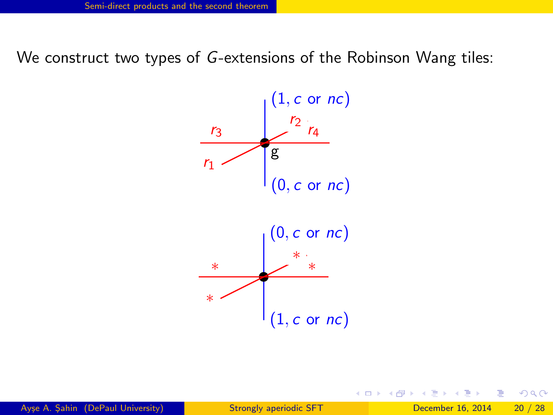We construct two types of G-extensions of the Robinson Wang tiles:



◂**◻▸ ◂<del>⁄</del>** ▸

<span id="page-41-0"></span> $200$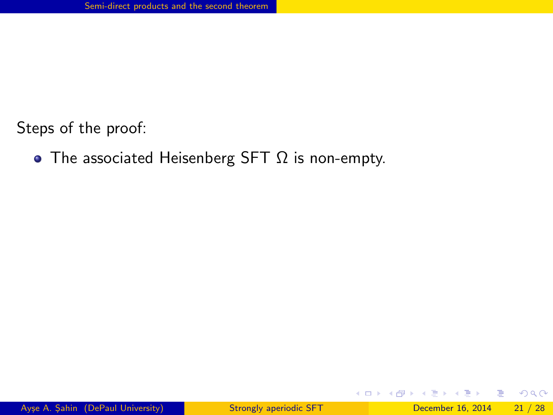• The associated Heisenberg SFT  $\Omega$  is non-empty.

 $\equiv$ 

<span id="page-42-0"></span> $\Omega$ 

ラメ メラメ

**4 ロ ▶ 4 母 ▶ 4**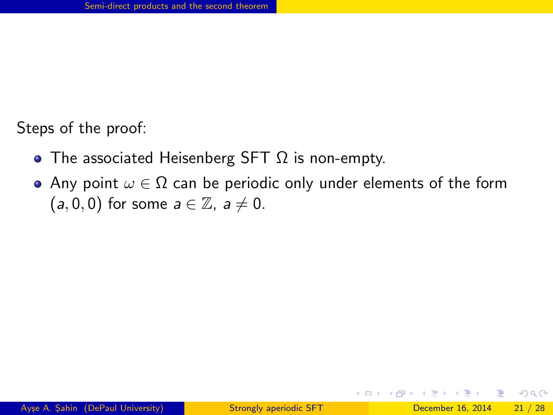- The associated Heisenberg SFT  $\Omega$  is non-empty.
- Any point  $\omega \in \Omega$  can be periodic only under elements of the form  $(a, 0, 0)$  for some  $a \in \mathbb{Z}$ ,  $a \neq 0$ .

÷

<span id="page-43-0"></span> $\Omega$ 

The South Tel

( □ ) ( <sub>□</sub> ) (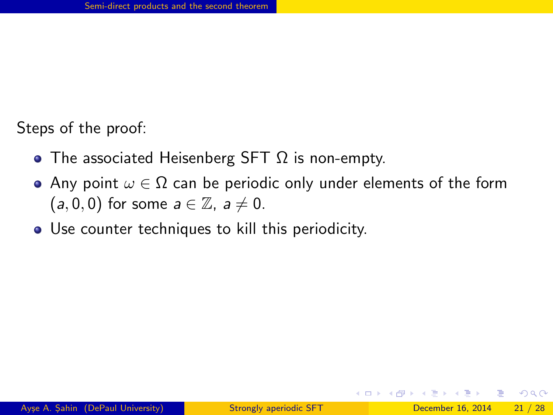- The associated Heisenberg SFT  $\Omega$  is non-empty.
- Any point  $\omega \in \Omega$  can be periodic only under elements of the form  $(a, 0, 0)$  for some  $a \in \mathbb{Z}$ ,  $a \neq 0$ .
- Use counter techniques to kill this periodicity.

<span id="page-44-0"></span>( □ ) ( <sub>□</sub> ) (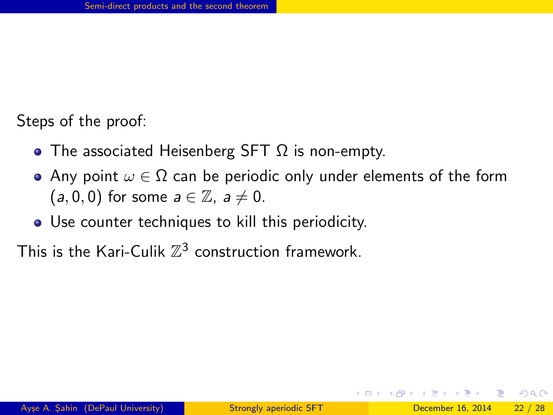- The associated Heisenberg SFT  $\Omega$  is non-empty.
- Any point  $\omega \in \Omega$  can be periodic only under elements of the form  $(a, 0, 0)$  for some  $a \in \mathbb{Z}$ ,  $a \neq 0$ .
- Use counter techniques to kill this periodicity.

This is the Kari-Culik  $\mathbb{Z}^3$  construction framework.

<span id="page-45-0"></span>**∢ ロ ▶ - ィ <sub>ロ</sub> ▶** - ィ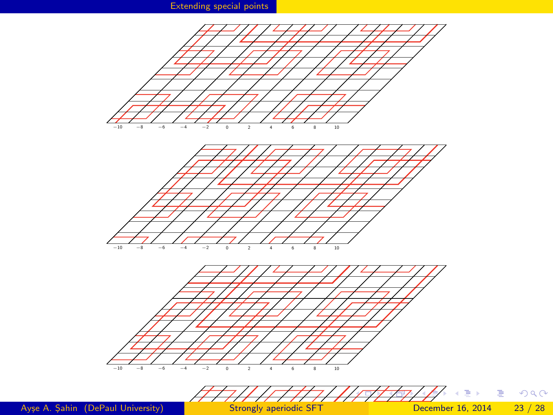[Extending special points](#page-46-0)



<span id="page-46-0"></span> $\equiv$  990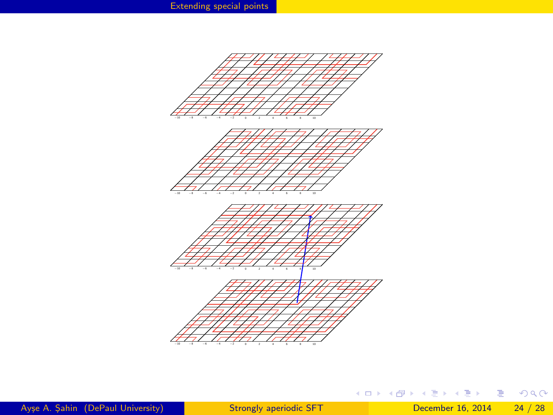

<span id="page-47-0"></span>K ロ ▶ K @ ▶ K 할 ▶ K 할 ▶ 이 할 → 900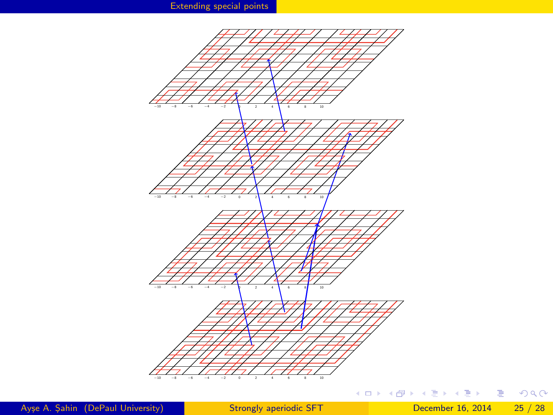<span id="page-48-0"></span>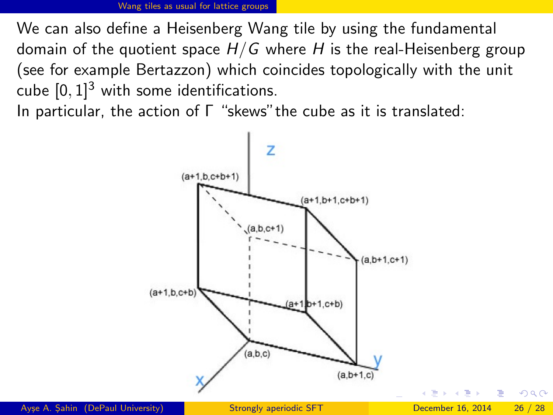We can also define a Heisenberg Wang tile by using the fundamental domain of the quotient space  $H/G$  where H is the real-Heisenberg group (see for example Bertazzon) which coincides topologically with the unit cube  $[0, 1]^3$  with some identifications.

In particular, the action of Γ "skews"the cube as it is translated:

<span id="page-49-0"></span>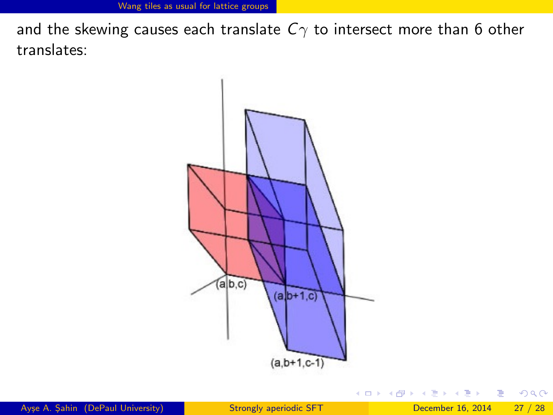and the skewing causes each translate  $C_{\gamma}$  to intersect more than 6 other translates:



 $\,$ 

**∢ ロ ▶ - ィ 何 ▶ - ィ** 

<span id="page-50-0"></span> $299$ 

画